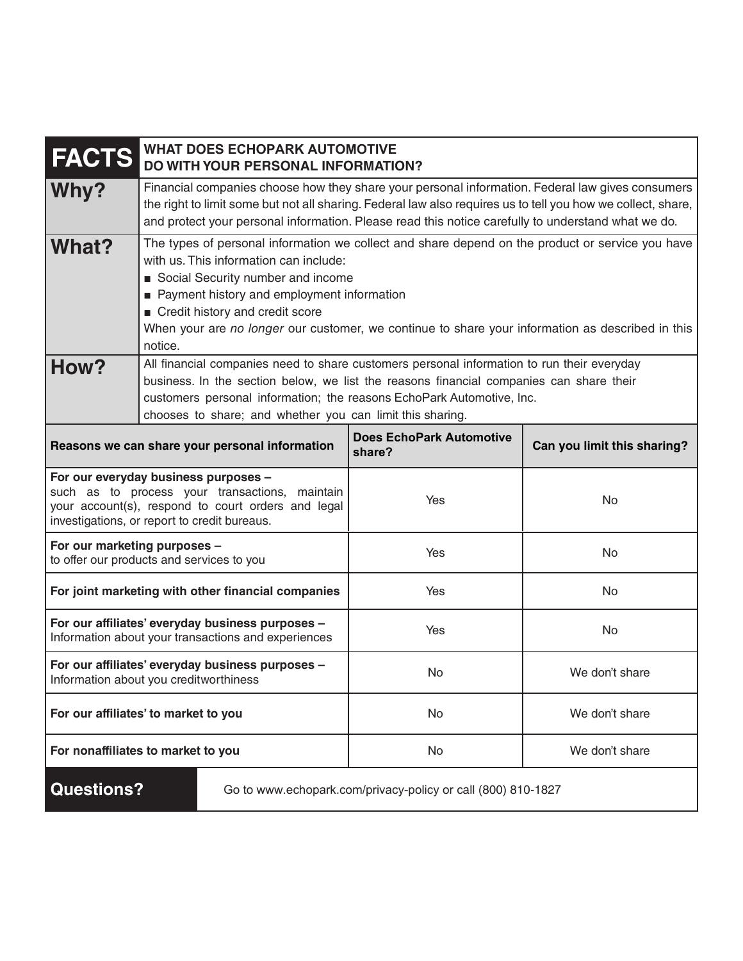| <b>FACTS</b>                                                                                                                                                                                 | <b>WHAT DOES ECHOPARK AUTOMOTIVE</b><br>DO WITH YOUR PERSONAL INFORMATION?                                                                                                                                                                                                                                                                                                      |  |                                                              |                             |
|----------------------------------------------------------------------------------------------------------------------------------------------------------------------------------------------|---------------------------------------------------------------------------------------------------------------------------------------------------------------------------------------------------------------------------------------------------------------------------------------------------------------------------------------------------------------------------------|--|--------------------------------------------------------------|-----------------------------|
| Why?                                                                                                                                                                                         | Financial companies choose how they share your personal information. Federal law gives consumers<br>the right to limit some but not all sharing. Federal law also requires us to tell you how we collect, share,<br>and protect your personal information. Please read this notice carefully to understand what we do.                                                          |  |                                                              |                             |
| What?                                                                                                                                                                                        | The types of personal information we collect and share depend on the product or service you have<br>with us. This information can include:<br>Social Security number and income<br>Payment history and employment information<br>Credit history and credit score<br>When your are no longer our customer, we continue to share your information as described in this<br>notice. |  |                                                              |                             |
| How?                                                                                                                                                                                         | All financial companies need to share customers personal information to run their everyday<br>business. In the section below, we list the reasons financial companies can share their<br>customers personal information; the reasons EchoPark Automotive, Inc.<br>chooses to share; and whether you can limit this sharing.                                                     |  |                                                              |                             |
| Reasons we can share your personal information                                                                                                                                               |                                                                                                                                                                                                                                                                                                                                                                                 |  | <b>Does EchoPark Automotive</b><br>share?                    | Can you limit this sharing? |
| For our everyday business purposes -<br>such as to process your transactions, maintain<br>your account(s), respond to court orders and legal<br>investigations, or report to credit bureaus. |                                                                                                                                                                                                                                                                                                                                                                                 |  | Yes                                                          | No                          |
| For our marketing purposes -<br>to offer our products and services to you                                                                                                                    |                                                                                                                                                                                                                                                                                                                                                                                 |  | Yes                                                          | No                          |
| For joint marketing with other financial companies                                                                                                                                           |                                                                                                                                                                                                                                                                                                                                                                                 |  | Yes                                                          | No                          |
| For our affiliates' everyday business purposes -<br>Information about your transactions and experiences                                                                                      |                                                                                                                                                                                                                                                                                                                                                                                 |  | Yes                                                          | No                          |
| For our affiliates' everyday business purposes -<br>Information about you creditworthiness                                                                                                   |                                                                                                                                                                                                                                                                                                                                                                                 |  | No                                                           | We don't share              |
| For our affiliates' to market to you                                                                                                                                                         |                                                                                                                                                                                                                                                                                                                                                                                 |  | No                                                           | We don't share              |
| For nonaffiliates to market to you                                                                                                                                                           |                                                                                                                                                                                                                                                                                                                                                                                 |  | No                                                           | We don't share              |
| <b>Questions?</b>                                                                                                                                                                            |                                                                                                                                                                                                                                                                                                                                                                                 |  | Go to www.echopark.com/privacy-policy or call (800) 810-1827 |                             |